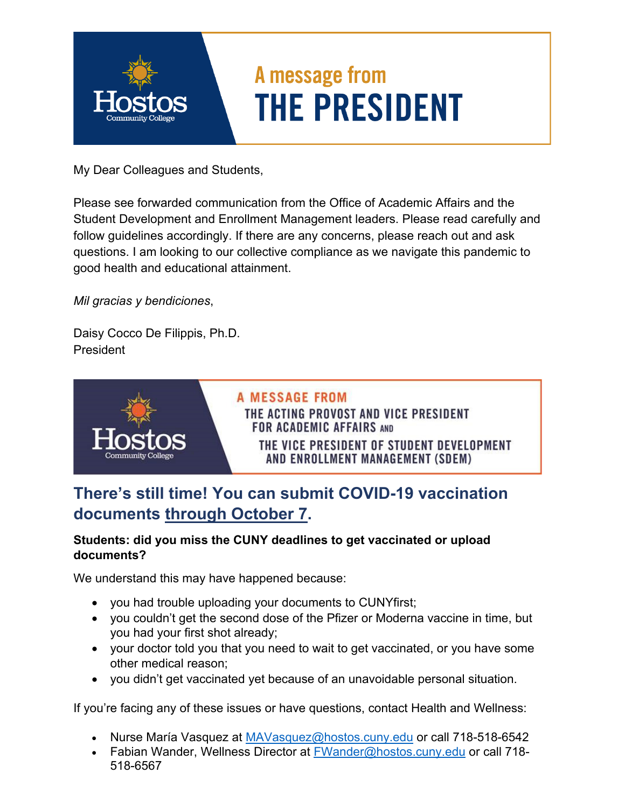

My Dear Colleagues and Students,

Please see forwarded communication from the Office of Academic Affairs and the Student Development and Enrollment Management leaders. Please read carefully and follow guidelines accordingly. If there are any concerns, please reach out and ask questions. I am looking to our collective compliance as we navigate this pandemic to good health and educational attainment.

*Mil gracias y bendiciones*,

Daisy Cocco De Filippis, Ph.D. **President** 



## **There's still time! You can submit COVID-19 vaccination documents through October 7.**

## **Students: did you miss the CUNY deadlines to get vaccinated or upload documents?**

We understand this may have happened because:

- you had trouble uploading your documents to CUNYfirst;
- you couldn't get the second dose of the Pfizer or Moderna vaccine in time, but you had your first shot already;
- your doctor told you that you need to wait to get vaccinated, or you have some other medical reason;
- you didn't get vaccinated yet because of an unavoidable personal situation.

If you're facing any of these issues or have questions, contact Health and Wellness:

- Nurse María Vasquez at [MAVasquez@hostos.cuny.edu](mailto:MAVasquez@hostos.cuny.edu) or call 718-518-6542
- Fabian Wander, Wellness Director at [FWander@hostos.cuny.edu](mailto:FWander@hostos.cuny.edu) or call 718-518-6567